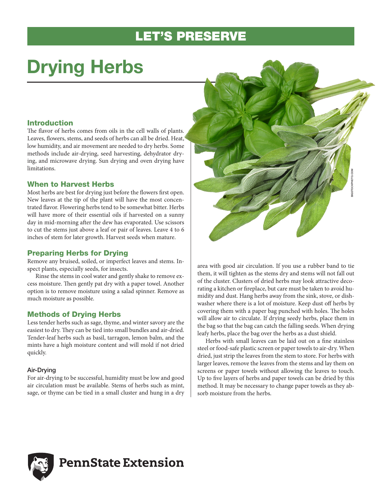# LET'S PRESERVE

# Drying Herbs

# Introduction

The flavor of herbs comes from oils in the cell walls of plants. Leaves, flowers, stems, and seeds of herbs can all be dried. Heat, low humidity, and air movement are needed to dry herbs. Some methods include air-drying, seed harvesting, dehydrator drying, and microwave drying. Sun drying and oven drying have limitations.

# When to Harvest Herbs

Most herbs are best for drying just before the flowers first open. New leaves at the tip of the plant will have the most concentrated flavor. Flowering herbs tend to be somewhat bitter. Herbs will have more of their essential oils if harvested on a sunny day in mid-morning after the dew has evaporated. Use scissors to cut the stems just above a leaf or pair of leaves. Leave 4 to 6 inches of stem for later growth. Harvest seeds when mature.

# Preparing Herbs for Drying

Remove any bruised, soiled, or imperfect leaves and stems. Inspect plants, especially seeds, for insects.

Rinse the stems in cool water and gently shake to remove excess moisture. Then gently pat dry with a paper towel. Another option is to remove moisture using a salad spinner. Remove as much moisture as possible.

# Methods of Drying Herbs

Less tender herbs such as sage, thyme, and winter savory are the easiest to dry. They can be tied into small bundles and air-dried. Tender-leaf herbs such as basil, tarragon, lemon balm, and the mints have a high moisture content and will mold if not dried quickly.

## Air-Drying

For air-drying to be successful, humidity must be low and good air circulation must be available. Stems of herbs such as mint, sage, or thyme can be tied in a small cluster and hung in a dry



area with good air circulation. If you use a rubber band to tie them, it will tighten as the stems dry and stems will not fall out of the cluster. Clusters of dried herbs may look attractive decorating a kitchen or fireplace, but care must be taken to avoid humidity and dust. Hang herbs away from the sink, stove, or dishwasher where there is a lot of moisture. Keep dust off herbs by covering them with a paper bag punched with holes. The holes will allow air to circulate. If drying seedy herbs, place them in the bag so that the bag can catch the falling seeds. When drying leafy herbs, place the bag over the herbs as a dust shield.

Herbs with small leaves can be laid out on a fine stainless steel or food-safe plastic screen or paper towels to air-dry. When dried, just strip the leaves from the stem to store. For herbs with larger leaves, remove the leaves from the stems and lay them on screens or paper towels without allowing the leaves to touch. Up to five layers of herbs and paper towels can be dried by this method. It may be necessary to change paper towels as they absorb moisture from the herbs.



# **PennState Extension**